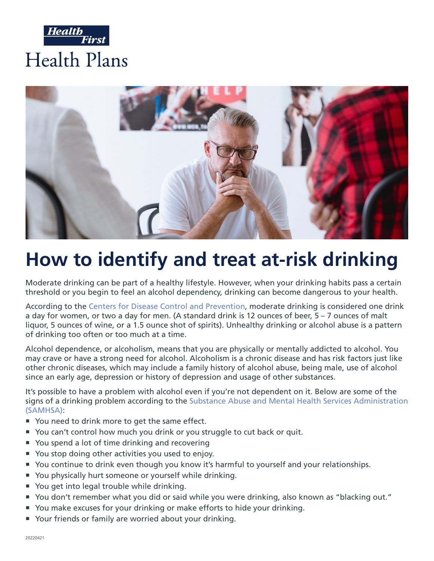



# **How to identify and treat at-risk drinking**

Moderate drinking can be part of a healthy lifestyle. However, when your drinking habits pass a certain threshold or you begin to feel an alcohol dependency, drinking can become dangerous to your health.

According to the [Centers for Disease Control and Prevention,](https://www.cdc.gov/alcohol/fact-sheets/alcohol-use.htm) moderate drinking is considered one drink a day for women, or two a day for men. (A standard drink is 12 ounces of beer, 5 – 7 ounces of malt liquor, 5 ounces of wine, or a 1.5 ounce shot of spirits). Unhealthy drinking or alcohol abuse is a pattern of drinking too often or too much at a time.

Alcohol dependence, or alcoholism, means that you are physically or mentally addicted to alcohol. You may crave or have a strong need for alcohol. Alcoholism is a chronic disease and has risk factors just like other chronic diseases, which may include a family history of alcohol abuse, being male, use of alcohol since an early age, depression or history of depression and usage of other substances.

It's possible to have a problem with alcohol even if you're not dependent on it. Below are some of the signs of a drinking problem according to the [Substance Abuse and Mental Health Services Administration](https://www.samhsa.gov/sites/default/files/alcohol-use-facts-resources-fact-sheet.pdf) [\(SAMHSA\):](https://www.samhsa.gov/sites/default/files/alcohol-use-facts-resources-fact-sheet.pdf)

- You need to drink more to get the same effect.
- ° You can't control how much you drink or you struggle to cut back or quit.
- You spend a lot of time drinking and recovering
- You stop doing other activities you used to enjoy.
- ° You continue to drink even though you know it's harmful to yourself and your relationships.
- ° You physically hurt someone or yourself while drinking.
- ° You get into legal trouble while drinking.
- ° You don't remember what you did or said while you were drinking, also known as "blacking out."
- ° You make excuses for your drinking or make efforts to hide your drinking.
- ° Your friends or family are worried about your drinking.